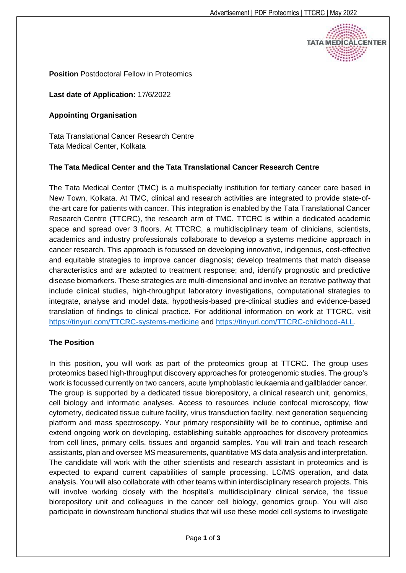ΤΑΤΑ ΜΕΩΙΟ

**Position** Postdoctoral Fellow in Proteomics

### **Last date of Application:** 17/6/2022

#### **Appointing Organisation**

Tata Translational Cancer Research Centre Tata Medical Center, Kolkata

### **The Tata Medical Center and the Tata Translational Cancer Research Centre**

The Tata Medical Center (TMC) is a multispecialty institution for tertiary cancer care based in New Town, Kolkata. At TMC, clinical and research activities are integrated to provide state-ofthe-art care for patients with cancer. This integration is enabled by the Tata Translational Cancer Research Centre (TTCRC), the research arm of TMC. TTCRC is within a dedicated academic space and spread over 3 floors. At TTCRC, a multidisciplinary team of clinicians, scientists, academics and industry professionals collaborate to develop a systems medicine approach in cancer research. This approach is focussed on developing innovative, indigenous, cost-effective and equitable strategies to improve cancer diagnosis; develop treatments that match disease characteristics and are adapted to treatment response; and, identify prognostic and predictive disease biomarkers. These strategies are multi-dimensional and involve an iterative pathway that include clinical studies, high-throughput laboratory investigations, computational strategies to integrate, analyse and model data, hypothesis-based pre-clinical studies and evidence-based translation of findings to clinical practice. For additional information on work at TTCRC, visit <https://tinyurl.com/TTCRC-systems-medicine> and [https://tinyurl.com/TTCRC-childhood-ALL.](https://tinyurl.com/TTCRC-childhood-ALL)

### **The Position**

In this position, you will work as part of the proteomics group at TTCRC. The group uses proteomics based high-throughput discovery approaches for proteogenomic studies. The group's work is focussed currently on two cancers, acute lymphoblastic leukaemia and gallbladder cancer. The group is supported by a dedicated tissue biorepository, a clinical research unit, genomics, cell biology and informatic analyses. Access to resources include confocal microscopy, flow cytometry, dedicated tissue culture facility, virus transduction facility, next generation sequencing platform and mass spectroscopy. Your primary responsibility will be to continue, optimise and extend ongoing work on developing, establishing suitable approaches for discovery proteomics from cell lines, primary cells, tissues and organoid samples. You will train and teach research assistants, plan and oversee MS measurements, quantitative MS data analysis and interpretation. The candidate will work with the other scientists and research assistant in proteomics and is expected to expand current capabilities of sample processing, LC/MS operation, and data analysis. You will also collaborate with other teams within interdisciplinary research projects. This will involve working closely with the hospital's multidisciplinary clinical service, the tissue biorepository unit and colleagues in the cancer cell biology, genomics group. You will also participate in downstream functional studies that will use these model cell systems to investigate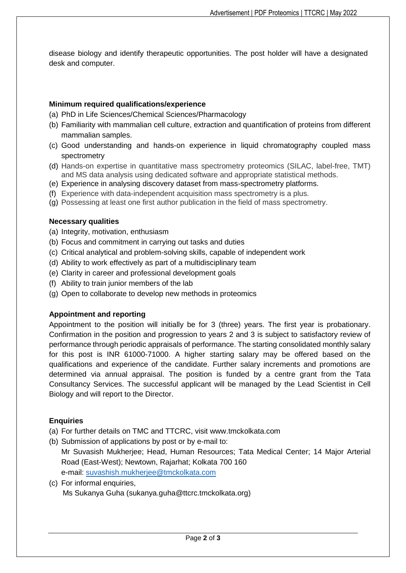disease biology and identify therapeutic opportunities. The post holder will have a designated desk and computer.

## **Minimum required qualifications/experience**

- (a) PhD in Life Sciences/Chemical Sciences/Pharmacology
- (b) Familiarity with mammalian cell culture, extraction and quantification of proteins from different mammalian samples.
- (c) Good understanding and hands-on experience in liquid chromatography coupled mass spectrometry
- (d) Hands-on expertise in quantitative mass spectrometry proteomics (SILAC, label-free, TMT) and MS data analysis using dedicated software and appropriate statistical methods.
- (e) Experience in analysing discovery dataset from mass-spectrometry platforms.
- (f) Experience with data-independent acquisition mass spectrometry is a plus.
- (g) Possessing at least one first author publication in the field of mass spectrometry.

## **Necessary qualities**

- (a) Integrity, motivation, enthusiasm
- (b) Focus and commitment in carrying out tasks and duties
- (c) Critical analytical and problem-solving skills, capable of independent work
- (d) Ability to work effectively as part of a multidisciplinary team
- (e) Clarity in career and professional development goals
- (f) Ability to train junior members of the lab
- (g) Open to collaborate to develop new methods in proteomics

# **Appointment and reporting**

Appointment to the position will initially be for 3 (three) years. The first year is probationary. Confirmation in the position and progression to years 2 and 3 is subject to satisfactory review of performance through periodic appraisals of performance. The starting consolidated monthly salary for this post is INR 61000-71000. A higher starting salary may be offered based on the qualifications and experience of the candidate. Further salary increments and promotions are determined via annual appraisal. The position is funded by a centre grant from the Tata Consultancy Services. The successful applicant will be managed by the Lead Scientist in Cell Biology and will report to the Director.

# **Enquiries**

- (a) For further details on TMC and TTCRC, visit www.tmckolkata.com
- (b) Submission of applications by post or by e-mail to: Mr Suvasish Mukherjee; Head, Human Resources; Tata Medical Center; 14 Major Arterial Road (East-West); Newtown, Rajarhat; Kolkata 700 160 e-mail: [suvashish.mukherjee@tmckolkata.com](mailto:suvashish.mukherjee@tmckolkata.com)
- (c) For informal enquiries, Ms Sukanya Guha (sukanya.guha@ttcrc.tmckolkata.org)